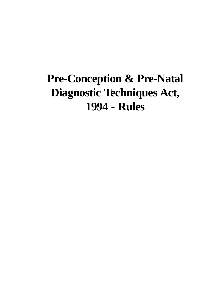# **Pre-Conception & Pre-Natal Diagnostic Techniques Act, 1994 - Rules**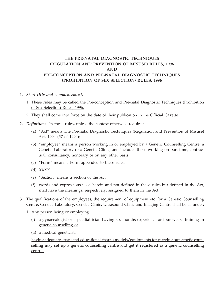# **THE PRE-NATAL DIAGNOSTIC TECHNIQUES (REGULATION AND PREVENTION OF MISUSE) RULES, 1996 AND PRE-CONCEPTION AND PRE-NATAL DIAGNOSTIC TECHNIQUES (PROHIBITION OF SEX SELECTION) RULES, 1996**

- 1. *Short title and commencement.*
	- 1. These rules may be called the Pre-conception and Pre-natal Diagnostic Techniques (Prohibition of Sex Selection) Rules, 1996.
	- 2. They shall come into force on the date of their publication in the Official Gazette.
- 2. *Definitions* In these rules, unless the context otherwise requires:-
	- (a) "Act" means The Pre-natal Diagnostic Techniques (Regulation and Prevention of Misuse) Act, 1994 (57 of 1994);
	- (b) "employee" means a person working in or employed by a Genetic Counselling Centre, a Genetic Laboratory or a Genetic Clinic, and includes those working on part-time, contractual, consultancy, honorary or on any other basis;
	- (c) "Form" means a Form appended to these rules;
	- (d) XXXX
	- (e) "Section" means a section of the Act;
	- (f) words and expressions used herein and not defined in these rules but defined in the Act, shall have the meanings, respectively, assigned to them in the Act.
- 3. The qualifications of the employees, the requirement of equipment etc. for a Genetic Counselling Centre, Genetic Laboratory, Genetic Clinic, Ultrasound Clinic and Imaging Centre shall be as under:
	- 1. Any person being or employing
		- (i) a gynaecologist or a paediatrician having six months experience or four weeks training in genetic counselling or
		- (ii) a medical geneticist,

having adequate space and educational charts/models/equipments for carrying out genetic counselling may set up a genetic counselling centre and get it registered as a genetic counselling centre.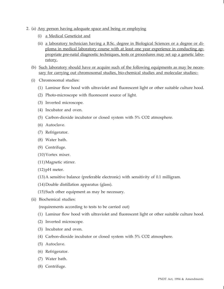- 2. (a) Any person having adequate space and being or employing
	- (i) a Medical Geneticist and
	- (ii) a laboratory technician having a B.Sc. degree in Biological Sciences or a degree or diploma in medical laboratory course with at least one year experience in conducting appropriate pre-natal diagnostic techniques, tests or procedures may set up a genetic laboratory.
	- (b) Such laboratory should have or acquire such of the following equipments as may be necessary for carrying out chromosomal studies, bio-chemical studies and molecular studies:-
	- (i) Chromosomal studies:
		- (1) Laminar flow hood with ultraviolet and fluorescent light or other suitable culture hood.
		- (2) Photo-microscope with fluorescent source of light.
		- (3) Inverted microscope.
		- (4) Incubator and oven.
		- (5) Carbon-dioxide incubator or closed system with 5% CO2 atmosphere.
		- (6) Autoclave.
		- (7) Refrigerator.
		- (8) Water bath.
		- (9) Centrifuge.
		- (10)Vortex mixer.
		- (11)Magnetic stirrer.
		- $(12)$  pH meter.
		- (13)A sensitive balance (preferable electronic) with sensitivity of 0.1 milligram.
		- (14)Double distillation apparatus (glass).
		- (15)Such other equipment as may be necessary.
	- (ii) Biochemical studies:

(requirements according to tests to be carried out)

- (1) Laminar flow hood with ultraviolet and fluorescent light or other suitable culture hood.
- (2) Inverted microscope.
- (3) Incubator and oven.
- (4) Carbon-dioxide incubator or closed system with 5% CO2 atmosphere.
- (5) Autoclave.
- (6) Refrigerator.
- (7) Water bath.
- (8) Centrifuge.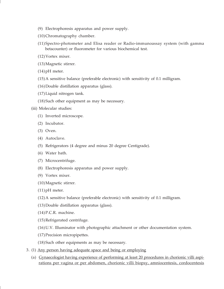- (9) Electrophoresis apparatus and power supply.
- (10)Chromatography chamber.
- (11)Spectro-photometer and Elisa reader or Radio-immunoassay system (with gamma betacounter) or fluorometer for various biochemical test.
- (12)Vortex mixer.
- (13)Magnetic stirrer.
- $(14)$  pH meter.
- (15) A sensitive balance (preferable electronic) with sensitivity of 0.1 milligram.
- (16)Double distillation apparatus (glass).
- (17) Liquid nitrogen tank.
- (18)Such other equipment as may be necessary.
- (iii) Molecular studies:
	- (1) Inverted microscope.
	- (2) Incubator.
	- (3) Oven.
	- (4) Autoclave.
	- (5) Refrigerators (4 degree and minus 20 degree Centigrade).
	- (6) Water bath.
	- (7) Microcentrifuge.
	- (8) Electrophoresis apparatus and power supply.
	- (9) Vortex mixer.
	- (10)Magnetic stirrer.
	- (11) pH meter.
	- (12) A sensitive balance (preferable electronic) with sensitivity of 0.1 milligram.
	- (13)Double distillation apparatus (glass).
	- (14)P.C.R. machine.
	- (15)Refrigerated centrifuge.
	- (16)U.V. Illuminator with photographic attachment or other documentation system.
	- (17)Precision micropipettes.
	- (18)Such other equipments as may be necessary.
- 3. (1) Any person having adequate space and being or employing
	- (a) Gynaecologist having experience of performing at least 20 procedures in chorionic villi aspirations per vagina or per abdomen, chorionic villi biopsy, amniocentesis, cordocentesis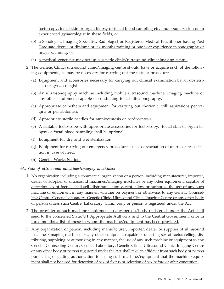foetoscopy, foetal skin or organ biopsy or foetal blood sampling etc. under supervision of an experienced gynaecologist in these fields, or

- (b) a Sonologist, Imaging Specialist, Radiologist or Registered Medical Practitioner having Post Graduate degree or diploma or six months training or one year experience in sonography or image scanning, or
- (c) a medical geneticist may set up a genetic clinic/ultrasound clinic/imaging centre.
- 2. The Genetic Clinic/ultrasound clinic/imaging centre should have <u>or acquire</u> such of the following equipments, as may be necessary for carrying out the tests or procedures-
	- (a) Equipment and accessories necessary for carrying out clinical examination by an obstetrician or gynaecologist
	- (b) An ultra-sonography machine including mobile ultrasound machine, imaging machine or any other equipment capable of conducting foetal ultrasonography**.**
	- (c) Appropriate cathethers and equipment for carrying out chorionic villi aspirations per vagina or per abdomen.
	- (d) Appropriate sterile needles for amniocentesis or cordocentesis.
	- (e) A suitable foetoscope with appropriate accessories for foetoscopy, foetal skin or organ biopsy or foetal blood sampling shall be optional.
	- (f) Equipment for dry and wet sterilization
	- (g) Equipment for carrying out emergency procedures such as evacuation of uterus or resuscitation in case of need.
	- (h) Genetic Works Station.

# 3A. *Sale of ultrasound machines/imaging machines:*

- 1. No organization including a commercial organization or a person, including manufacturer, importer, dealer or supplier of ultrasound machines/imaging machines or any other equipment, capable of detecting sex of foetus, shall sell, distribute, supply, rent, allow or authorize the use of any such machine or equipment in any manner, whether on payment or otherwise, to any Genetic Counselling Centre, Genetic Laboratory, Genetic Clinic, Ultrasound Clinic, Imaging Centre or any other body or person unless such Centre, Laboratory, Clinic, body or person is registered under the Act.
- 2. The provider of such machine/equipment to any person/body registered under the Act shall send to the concerned State/UT Appropriate Authority and to the Central Government, once in three months a list of those to whom the machine/equipment has been provided.
- 3. Any organization or person, including manufacturer, importer, dealer or supplier of ultrasound machines/imaging machines or any other equipment capable of detecting sex of foetus selling, distributing, supplying or authorizing in any manner, the use of any such machine or equipment to any Genetic Counselling Centre, Genetic Laboratory, Genetic Clinic, Ultrasound Clinic, Imaging Centre or any other body or person registered under the Act shall take an affidavit from such body or person purchasing or getting authorization for using such machine/equipment that the machine/equipment shall not be used for detection of sex of foetus or selection of sex before or after conception.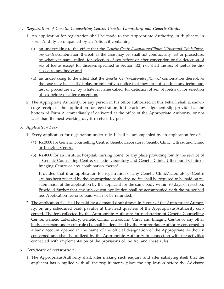# 4. *Registration of Genetic Counselling Centre, Genetic Laboratory and Genetic Clinic*.-

- 1. An application for registration shall be made to the Appropriate Authority, in duplicate, in Form A, duly accompanied by an Affidavit containing-
	- (i) an undertaking to the effect that the *Genetic Centre/Laboratory/Clinic/ Ultrasound Clinic/Imaging Centre/*combination thereof, as the case may be, shall not conduct any test or procedure, by whatever name called, for selection of sex before or after conception or for detection of sex of foetus except for diseases specified in Section 4(2) nor shall the sex of foetus be disclosed to any body; and
	- (ii) an undertaking to the effect that the *Genetic Centre/Laboratory/Clinic/* combination thereof, as the case may be, shall display prominently a notice that they do not conduct any technique, test or procedure etc. by whatever name called, for detection of sex of foetus or for selection of sex before or after conception.
- 2. The Appropriate Authority, or any person in his office authorized in this behalf, shall acknowledge receipt of the application for registration, in the acknowledgement slip provided at the bottom of Form A, immediately if delivered at the office of the Appropriate Authority, or not later than the next working day if received by post.

# 5. *Application Fee*.-

- 1. Every application for registration under rule 4 shall be accompanied by an application fee of:-
	- (a) Rs.3000 for Genetic Counselling Centre, Genetic Laboratory, Genetic Clinic, Ultrasound Clinic or Imaging Centre.
	- (b) Rs.4000 for an institute, hospital, nursing home, or any place providing jointly the service of a Genetic Counselling Centre, Genetic Laboratory and Genetic Clinic, Ultrasound Clinic or Imaging Centre or any combination thereof.

Provided that if an application for registration of any Genetic Clinic/Laboratory/Centre etc. has been rejected by the Appropriate Authority, no fee shall be required to be paid on resubmission of the application by the applicant for the same body within 90 days of rejection. Provided further that any subsequent application shall be accompanied with the prescribed fee. Application fee once paid will not be refunded.

- 2. The application fee shall be paid by a demand draft drawn in favour of the Appropriate Authority, on any scheduled bank payable at the head quarters of the Appropriate Authority concerned. The fees collected by the Appropriate Authority for registration of Genetic Counselling Centre, Genetic Laboratory, Genetic Clinic, Ultrasound Clinic and Imaging Centre or any other body or person under sub-rule (1), shall be deposited by the Appropriate Authority concerned in a bank account opened in the name of the official designation of the Appropriate Authority concerned and shall be utilized by the Appropriate Authority in connection with the activities connected with implementation of the provisions of the Act and these rules.
- 6. *Certificate of registration*.-
	- 1. The Appropriate Authority shall, after making such enquiry and after satisfying itself that the applicant has complied with all the requirements, place the application before the Advisory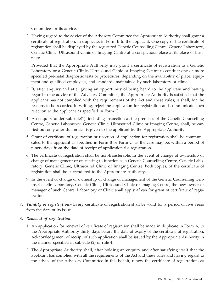Committee for its advice.

2. Having regard to the advice of the Advisory Committee the Appropriate Authority shall grant a certificate of registration, in duplicate, in Form B to the applicant. One copy of the certificate of registration shall be displayed by the registered Genetic Counselling Centre, Genetic Laboratory, Genetic Clinic, Ultrasound Clinic or Imaging Centre at a conspicuous place at its place of business:

Provided that the Appropriate Authority may grant a certificate of registration to a Genetic Laboratory or a Genetic Clinic, Ultrasound Clinic or Imaging Centre to conduct one or more specified pre-natal diagnostic tests or procedures, depending on the availability of place, equipment and qualified employees, and standards maintained by such laboratory or clinic.

- 3. If, after enquiry and after giving an opportunity of being heard to the applicant and having regard to the advice of the Advisory Committee, the Appropriate Authority is satisfied that the applicant has not complied with the requirements of the Act and these rules, it shall, for the reasons to be recorded in writing, reject the application for registration and communicate such rejection to the applicant as specified in Form C.
- 4. An enquiry under sub-rule(1), including inspection at the premises of the Genetic Counselling Centre, Genetic Laboratory, Genetic Clinic, Ultrasound Clinic or Imaging Centre, shall, be carried out only after due notice is given to the applicant by the Appropriate Authority.
- 5. Grant of certificate of registration or rejection of application for registration shall be communicated to the applicant as specified in Form B or Form C, as the case may be, within a period of ninety days from the date of receipt of application for registration.
- 6. The certificate of registration shall be non-transferable. In the event of change of ownership or change of management or on ceasing to function as a Genetic Counselling Centre, Genetic Laboratory, Genetic Clinic, Ultrasound Clinic or Imaging Centre, both copies, of the certificate of registration shall be surrendered to the Appropriate Authority.
- 7. In the event of change of ownership or change of management of the Genetic Counselling Centre, Genetic Laboratory, Genetic Clinic, Ultrasound Clinic or Imaging Centre, the new owner or manager of such Centre, Laboratory or Clinic shall apply afresh for grant of certificate of registration.
- 7. *Validity of registration*.- Every certificate of registration shall be valid for a period of five years from the date of its issue.
- 8. *Renewal of registration*.-
	- 1. An application for renewal of certificate of registration shall be made in duplicate in Form A, to the Appropriate Authority thirty days before the date of expiry of the certificate of registration. Acknowledgement of receipt of such application shall be issued by the Appropriate Authority in the manner specified in sub-rule (2) of rule 4.
	- 2. The Appropriate Authority shall, after holding an enquiry and after satisfying itself that the applicant has complied with all the requirements of the Act and these rules and having regard to the advice of the Advisory Committee in this behalf, renew the certificate of registration, as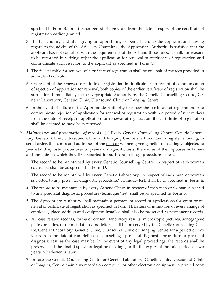specified in Form B, for a further period of five years from the date of expiry of the certificate of registration earlier granted.

- 3. If, after enquiry and after giving an opportunity of being heard to the applicant and having regard to the advice of the Advisory Committee, the Appropriate Authority is satisfied that the applicant has not complied with the requirements of the Act and these rules, it shall, for reasons to be recorded in writing, reject the application for renewal of certificate of registration and communicate such rejection to the applicant as specified in Form C.
- 4. The fees payable for renewal of certificate of registration shall be one half of the fees provided in sub-rule (1) of rule 5.
- 5. On receipt of the renewed certificate of registration in duplicate or on receipt of communication of rejection of application for renewal, both copies of the earlier certificate of registration shall be surrendered immediately to the Appropriate Authority by the Genetic Counselling Centre, Genetic Laboratory, Genetic Clinic, Ultrasound Clinic or Imaging Centre.
- 6. In the event of failure of the Appropriate Authority to renew the certificate of registration or to communicate rejection of application for renewal of registration within a period of ninety days from the date of receipt of application for renewal of registration, the certificate of registration shall be deemed to have been renewed.
- 9. *Maintenance and preservation of records*.- (1) Every Genetic Counselling Centre, Genetic Laboratory, Genetic Clinic, Ultrasound Clinic and Imaging Centre shall maintain a register showing, in serial order, the names and addresses of the men or women given genetic counselling, subjected to pre-natal diagnostic procedures or pre-natal diagnostic tests, the names of their spouses or fathers and the date on which they first reported for such counselling , procedure or test.
	- 2. The record to be maintained by every Genetic Counselling Centre, in respect of each woman counseled shall be as specified in Form D.
	- 3. The record to be maintained by every Genetic Laboratory, in respect of each man or woman subjected to any pre-natal diagnostic procedure/technique/test, shall be as specified in Form E.
	- 4. The record to be maintained by every Genetic Clinic, in respect of each man or woman subjected to any pre-natal diagnostic procedure/technique/test, shall be as specified in Form F.
	- 5. The Appropriate Authority shall maintain a permanent record of applications for grant or renewal of certificate of registration as specified in Form H. Letters of intimation of every change of employee, place, address and equipment installed shall also be preserved as permanent records.
	- 6. All case related records, forms of consent, laboratory results, microscopic pictures, sonographic plates or slides, recommendations and letters shall be preserved by the Genetic Counselling Centre, Genetic Laboratory, Genetic Clinic, Ultrasound Clinic or Imaging Centre for a period of two years from the date of completion of counselling , pre-natal diagnostic procedure or pre-natal diagnostic test, as the case may be. In the event of any legal proceedings, the records shall be preserved till the final disposal of legal proceedings, or till the expiry of the said period of two years, whichever is later.
	- 7. In case the Genetic Counselling Centre or Genetic Laboratory, Genetic Clinic, Ultrasound Clinic or Imaging Centre maintains records on computer or other electronic equipment, a printed copy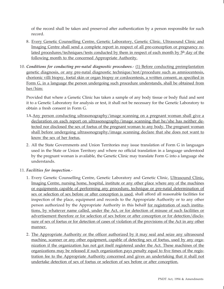of the record shall be taken and preserved after authentication by a person responsible for such record.

- 8. Every Genetic Counselling Centre, Genetic Laboratory, Genetic Clinic*,* Ultrasound Clinic and Imaging Centre shall send a complete report in respect of all pre-conception or pregnancy related procedures/techniques/tests conducted by them in respect of each month by  $5<sup>th</sup>$  day of the following month to the concerned Appropriate Authority.
- 10. *Conditions for conducting pre-natal diagnostic procedures*.- (1) Before conducting preimplantation genetic diagnosis, or any pre-natal diagnostic technique/test/procedure such as amniocentesis, chorionic villi biopsy, foetal skin or organ biopsy or cordocentesis, a written consent, as specified in Form G, in a language the person undergoing such procedure understands, shall be obtained from her/him:

Provided that where a Genetic Clinic has taken a sample of any body tissue or body fluid and sent it to a Genetic Laboratory for analysis or test, it shall not be necessary for the Genetic Laboratory to obtain a fresh consent in Form G.

- 1A. Any person conducting ultrasonography/image scanning on a pregnant woman shall give a declaration on each report on ultrasonography/image scanning that he/she has neither detected nor disclosed the sex of foetus of the pregnant woman to any body. The pregnant woman shall before undergoing ultrasonography/image scanning declare that she does not want to know the sex of her foetus.
- 2. All the State Governments and Union Territories may issue translation of Form G in languages used in the State or Union Territory and where no official translation in a language understood by the pregnant woman is available, the Genetic Clinic may translate Form G into a language she understands.

# 11. *Facilities for inspection*.-

- 1. Every Genetic Counselling Centre, Genetic Laboratory and Genetic Clinic, Ultrasound Clinic, Imaging Centre, nursing home, hospital, institute or any other place where any of the machines or equipments capable of performing any procedure, technique or pre-natal determination of sex or selection of sex before or after conception is used, shall afford all reasonable facilities for inspection of the place, equipment and records to the Appropriate Authority or to any other person authorized by the Appropriate Authority in this behalf for registration of such institutions, by whatever name called, under the Act, or for detection of misuse of such facilities or advertisement therefore or for selection of sex before or after conception or for detection/disclosure of sex of foetus or for detection of cases of violation of the provisions of the Act in any other manner.
- 2. The Appropriate Authority or the officer authorized by it may seal and seize any ultrasound machine, scanner or any other equipment, capable of detecting sex of foetus, used by any organization if the organization has not got itself registered under the Act. These machines of the organizations may be released if such organization pays penalty equal to five times of the registration fee to the Appropriate Authority concerned and gives an undertaking that it shall not undertake detection of sex of foetus or selection of sex before or after conception.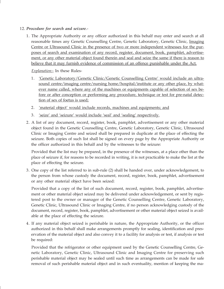- 12. *Procedure for search and seizure*.-
	- 1. The Appropriate Authority or any officer authorized in this behalf may enter and search at all reasonable times any Genetic Counselling Centre, Genetic Laboratory, Genetic Clinic, Imaging Centre or Ultrasound Clinic in the presence of two or more independent witnesses for the purposes of search and examination of any record, register, document, book, pamphlet, advertisement, or any other material object found therein and seal and seize the same if there is reason to believe that it may furnish evidence of commission of an offence punishable under the Act.

*Explanation:*- In these Rules-

- 1. 'Genetic Laboratory/Genetic Clinic/Genetic Counselling Centre' would include an ultrasound centre/imaging centre/nursing home/hospital/institute or any other place, by whatever name called, where any of the machines or equipments capable of selection of sex before or after conception or performing any procedure, technique or test for pre-natal detection of sex of foetus is used;
- 2. 'material object' would include records, machines and equipments; and
- 3. 'seize' and 'seizure' would include 'seal' and 'sealing' respectively.
- 2. A list of any document, record, register, book, pamphlet, advertisement or any other material object found in the Genetic Counselling Centre, Genetic Laboratory, Genetic Clinic, Ultrasound Clinic or Imaging Centre and seized shall be prepared in duplicate at the place of effecting the seizure. Both copies of such list shall be signed on every page by the Appropriate Authority or the officer authorized in this behalf and by the witnesses to the seizure:

Provided that the list may be prepared, in the presence of the witnesses, at a place other than the place of seizure if, for reasons to be recorded in writing, it is not practicable to make the list at the place of effecting the seizure.

3. One copy of the list referred to in sub-rule (2) shall be handed over, under acknowledgement, to the person from whose custody the document, record, register, book, pamphlet, advertisement or any other material object have been seized:

Provided that a copy of the list of such document, record, register, book, pamphlet, advertisement or other material object seized may be delivered under acknowledgement, or sent by registered post to the owner or manager of the Genetic Counselling Centre, Genetic Laboratory, Genetic Clinic, Ultrasound Clinic or Imaging Centre, if no person acknowledging custody of the document, record, register, book, pamphlet, advertisement or other material object seized is available at the place of effecting the seizure.

4. If any material object seized is perishable in nature, the Appropriate Authority, or the officer authorized in this behalf shall make arrangements promptly for sealing, identification and preservation of the material object and also convey it to a facility for analysis or test, if analysis or test be required:

Provided that the refrigerator or other equipment used by the Genetic Counselling Centre, Genetic Laboratory, Genetic Clinic, Ultrasound Clinic and Imaging Centre for preserving such perishable material object may be sealed until such time as arrangements can be made for safe removal of such perishable material object and in such eventuality, mention of keeping the ma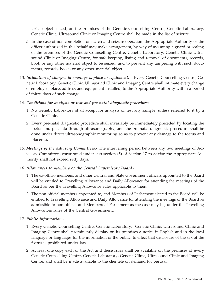terial object seized, on the premises of the Genetic Counselling Centre, Genetic Laboratory, Genetic Clinic, Ultrasound Clinic or Imaging Centre shall be made in the list of seizure.

- 5. In the case of non-completion of search and seizure operation, the Appropriate Authority or the officer authorized in this behalf may make arrangement, by way of mounting a guard or sealing of the premises of the Genetic Counselling Centre, Genetic Laboratory, Genetic Clinic Ultrasound Clinic or Imaging Centre, for safe keeping, listing and removal of documents, records, book or any other material object to be seized, and to prevent any tampering with such documents, records, books or any other material object.
- 13. *Intimation of changes in employees, place or equipment*. Every Genetic Counselling Centre, Genetic Laboratory, Genetic Clinic, Ultrasound Clinic and Imaging Centre shall intimate every change of employee, place, address and equipment installed, to the Appropriate Authority within a period of thirty days of such change.
- 14. *Conditions for analysis or test and pre-natal diagnostic procedures*.-
	- 1. No Genetic Laboratory shall accept for analysis or test any sample, unless referred to it by a Genetic Clinic.
	- 2. Every pre-natal diagnostic procedure shall invariably be immediately preceded by locating the foetus and placenta through ultrasonography, and the pre-natal diagnostic procedure shall be done under direct ultrasonographic monitoring so as to prevent any damage to the foetus and placenta.
- 15. *Meetings of the Advisory Committees*.- The intervening period between any two meetings of Advisory Committees constituted under sub-section (5) of Section 17 to advise the Appropriate Authority shall not exceed sixty days.

# 16. *Allowances to members of the Central Supervisory Board*.-

- 1. The ex-officio members, and other Central and State Government officers appointed to the Board will be entitled to Travelling Allowance and Daily Allowance for attending the meetings of the Board as per the Travelling Allowance rules applicable to them.
- 2. The non-official members appointed to, and Members of Parliament elected to the Board will be entitled to Travelling Allowance and Daily Allowance for attending the meetings of the Board as admissible to non-official and Members of Parliament as the case may be, under the Travelling Allowances rules of the Central Government.

# 17. *Public Information*.-

- 1. Every Genetic Counselling Centre, Genetic Laboratory, Genetic Clinic, Ultrasound Clinic and Imaging Centre shall prominently display on its premises a notice in English and in the local language or languages for the information of the public, to effect that disclosure of the sex of the foetus is prohibited under law.
- 2. At least one copy each of the Act and these rules shall be available on the premises of every Genetic Counselling Centre, Genetic Laboratory, Genetic Clinic, Ultrasound Clinic and Imaging Centre, and shall be made available to the clientele on demand for perusal.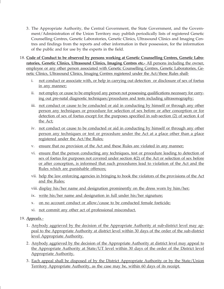- 3. The Appropriate Authority, the Central Government, the State Government, and the Government/Administration of the Union Territory may publish periodically lists of registered Genetic Counselling Centres, Genetic Laboratories, Genetic Clinics, Ultrasound Clinics and Imaging Centres and findings from the reports and other information in their possession, for the information of the public and for use by the experts in the field.
- 18. **Code of Conduct to be observed by persons working at Genetic Counselling Centres, Genetic Laboratories, Genetic Clinics, Ultrasound Clinics, Imaging Centres etc.-** All persons including the owner, employee or any other person associated with Genetic Counselling Centres, Genetic Laboratories, Genetic Clinics, Ultrasound Clinics, Imaging Centres registered under the Act/these Rules shall
	- i. not conduct or associate with, or help in carrying out detection or disclosure of sex of foetus in any manner;
	- ii. not employ or cause to be employed any person not possessing qualifications necessary for carrying out pre-natal diagnostic techniques/procedures and tests including ultrasonography;
	- iii. not conduct or cause to be conducted or aid in conducting by himself or through any other person any techniques or procedure for selection of sex before or after conception or for detection of sex of foetus except for the purposes specified in sub-section (2) of section 4 of the Act;
	- iv. not conduct or cause to be conducted or aid in conducting by himself or through any other person any techniques or test or procedure under the Act at a place other than a place registered under the Act/the Rules;
	- v. ensure that no provision of the Act and these Rules are violated in any manner;
	- vi. ensure that the person conducting any techniques, test or procedure leading to detection of sex of foetus for purposes not covered under section 4(2) of the Act or selection of sex before or after conception, is informed that such procedures lead to violation of the Act and the Rules which are punishable offences;
	- vii. help the law enforcing agencies in bringing to book the violators of the provisions of the Act and the Rules;
	- viii. display his/her name and designation prominently on the dress worn by him/her;
	- ix. write his/her name and designation in full under his/her signature;
	- x. on no account conduct or allow/cause to be conducted female foeticide;
	- xi. not commit any other act of professional misconduct.
- 19. *Appeals*.-
	- 1. Anybody aggrieved by the decision of the Appropriate Authority at sub-district level may appeal to the Appropriate Authority at district level within 30 days of the order of the sub-district level Appropriate Authority.
	- 2. Anybody aggrieved by the decision of the Appropriate Authority at district level may appeal to the Appropriate Authority at State/UT level within 30 days of the order of the District level Appropriate Authority.
	- 3. Each appeal shall be disposed of by the District Appropriate Authority or by the State/Union Territory Appropriate Authority, as the case may be, within 60 days of its receipt.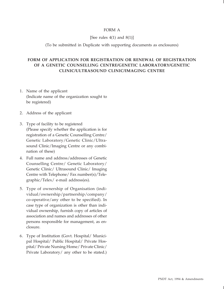## FORM A

#### [See rules  $4(1)$  and  $8(1)$ ]

#### (To be submitted in Duplicate with supporting documents as enclosures)

# **FORM OF APPLICATION FOR REGISTRATION OR RENEWAL OF REGISTRATION OF A GENETIC COUNSELLING CENTRE/GENETIC LABORATORY/GENETIC CLINIC/ULTRASOUND CLINIC/IMAGING CENTRE**

- 1. Name of the applicant (Indicate name of the organization sought to be registered)
- 2. Address of the applicant
- 3. Type of facility to be registered (Please specify whether the application is for registration of a Genetic Counselling Centre/ Genetic Laboratory/Genetic Clinic/Ultrasound Clinic/Imaging Centre or any combination of these)
- 4. Full name and address/addresses of Genetic Counselling Centre/ Genetic Laboratory/ Genetic Clinic/ Ultrasound Clinic/ Imaging Centre with Telephone/ Fax number(s)/Telegraphic/Telex/ e-mail address(es).
- 5. Type of ownership of Organisation (individual/ownership/partnership/company/ co-operative/any other to be specified). In case type of organization is other than individual ownership, furnish copy of articles of association and names and addresses of other persons responsible for management, as enclosure.
- 6. Type of Institution (Govt. Hospital/ Municipal Hospital/ Public Hospital/ Private Hospital/ Private Nursing Home/ Private Clinic/ Private Laboratory/ any other to be stated.)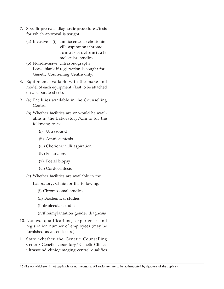- 7. Specific pre-natal diagnostic procedures/tests for which approval is sought
	- (a) Invasive (i) amniocentesis/chorionic villi aspiration/chromosomal/biochemical/ molecular studies
	- (b) Non-Invasive Ultrasonography Leave blank if registration is sought for Genetic Counselling Centre only.
- 8. Equipment available with the make and model of each equipment. (List to be attached on a separate sheet).
- 9. (a) Facilities available in the Counselling Centre.
	- (b) Whether facilities are or would be available in the Laboratory/Clinic for the following tests:
		- (i) Ultrasound
		- (ii) Amniocentesis
		- (iii) Chorionic villi aspiration
		- (iv) Foetoscopy
		- (v) Foetal biopsy
		- (vi) Cordocentesis
	- (c) Whether facilities are available in the
		- Laboratory, Clinic for the following:
			- (i) Chromosomal studies
			- (ii) Biochemical studies
			- (iii)Molecular studies
			- (iv)Preimplantation gender diagnosis
- 10. Names, qualifications, experience and registration number of employees (may be furnished as an enclosure)
- 11. State whether the Genetic Counselling Centre/ Genetic Laboratory/ Genetic Clinic/ ultrasound clinic/imaging centre<sup>1</sup> qualifies

<sup>&</sup>lt;sup>1</sup> Strike out whichever is not applicable or not necessary. All enclosures are to be authenticated by signature of the applicant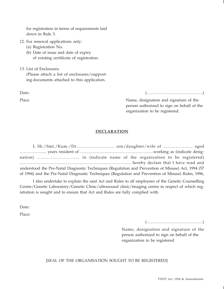for registration in terms of requirements laid down in Rule 3.

- 12. For renewal applications only:
	- (a) Registration No.

(b) Date of issue and date of expiry of existing certificate of registration.

13. List of Enclosures: (Please attach a list of enclosures/supporting documents attached to this application.

Date: (…………………………………..)

Place Name, designation and signature of the person authorized to sign on behalf of the organization to be registered.

# **DECLARATION**

I, Sh./Smt./Kum./Dr……………………… son/daughter/wife of ………………… aged ……………….. years resident of ………………………………………………working as (indicate designation) ………………………… in (indicate name of the organization to be registered) …………………………………………………………………….. hereby declare that I have read and understood the Pre-Natal Diagnostic Techniques (Regulation and Prevention of Misuse) Act, 1994 (57 of 1994) and the Pre-Natal Diagnostic Techniques (Regulation and Prevention of Misuse) Rules, 1996,

I also undertake to explain the said Act and Rules to all employees of the Genetic Counselling Centre/Genetic Laboratory/Genetic Clinic/ultrasound clinic/imaging centre in respect of which registration is sought and to ensure that Act and Rules are fully complied with.

Date:

Place:

(…………………………………..)

Name, designation and signature of the person authorized to sign on behalf of the organization to be registered

[SEAL OF THE ORGANISATION SOUGHT TO BE REGISTERED]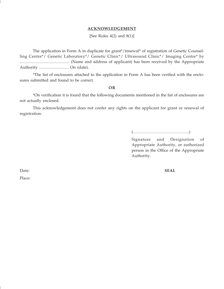#### **ACKNOWLEDGEMENT**

[See Rules  $4(2)$  and  $8(1)$ ]

The application in Form A in duplicate for grant\*/renewal\* of registration of Genetic Counselling Centre\*/ Genetic Laboratory\*/ Genetic Clinic\*/ Ultrasound Clinic\*/ Imaging Centre\* by ………………………………. (Name and address of applicant) has been received by the Appropriate Authority …………………. On (date).

\*The list of enclosures attached to the application in Form A has been verified with the enclosures submitted and found to be correct.

#### **OR**

\*On verification it is found that the following documents mentioned in the list of enclosures are not actually enclosed.

This acknowledgement does not confer any rights on the applicant for grant or renewal of registration.

(…………………………………..)

Signature and Designation of Appropriate Authority, or authorized person in the Office of the Appropriate Authority.

Place:

Date: **SEAL**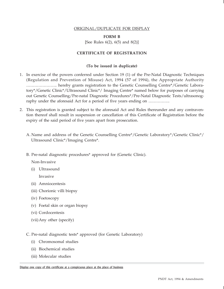#### ORIGINAL/DUPLICATE FOR DISPLAY

#### **FORM B**

[See Rules 6(2), 6(5) and 8(2)]

#### **CERTIFICATE OF REGISTRATION**

#### **(To be issued in duplicate)**

- 1. In exercise of the powers conferred under Section 19 (1) of the Pre-Natal Diagnostic Techniques (Regulation and Prevention of Misuse) Act, 1994 (57 of 1994), the Appropriate Authority ………………….. hereby grants registration to the Genetic Counselling Centre\*/Genetic Laboratory\*/Genetic Clinic\*/Ultrasound Clinic\*/ Imaging Centre\* named below for purposes of carrying out Genetic Counselling/Pre-natal Diagnostic Procedures\*/Pre-Natal Diagnostic Tests/ultrasonography under the aforesaid Act for a period of five years ending on …………….
- 2. This registration is granted subject to the aforesaid Act and Rules thereunder and any contravention thereof shall result in suspension or cancellation of this Certificate of Registration before the expiry of the said period of five years apart from prosecution.
	- A. Name and address of the Genetic Counselling Centre\*/Genetic Laboratory\*/Genetic Clinic\*/ Ultrasound Clinic\*/Imaging Centre\*.
	- B. Pre-natal diagnostic procedures\* approved for (Genetic Clinic).

Non-Invasive

(i) Ultrasound

Invasive

- (ii) Amniocentesis
- (iii) Chorionic villi biopsy
- (iv) Foetoscopy
- (v) Foetal skin or organ biopsy
- (vi) Cordocentesis
- (vii) Any other (specify)
- C. Pre-natal diagnostic tests\* approved (for Genetic Laboratory)
	- (i) Chromosomal studies
	- (ii) Biochemical studies
	- (iii) Molecular studies

Display one copy of this certificate at a conspicuous place at the place of business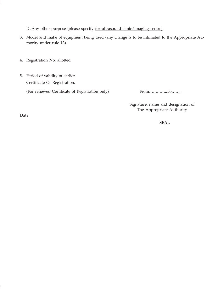D. Any other purpose (please specify for ultrasound clinic/imaging centre)

- 3. Model and make of equipment being used (any change is to be intimated to the Appropriate Authority under rule 13).
- 4. Registration No. allotted
- 5. Period of validity of earlier Certificate Of Registration.

(For renewed Certificate of Registration only) From................To........

Signature, name and designation of The Appropriate Authority

Date:

 **SEAL**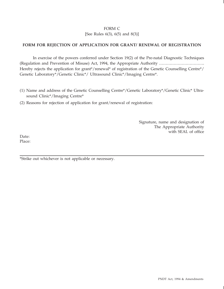# FORM C

[See Rules 6(3), 6(5) and 8(3)]

# **FORM FOR REJECTION OF APPLICATION FOR GRANT/ RENEWAL OF REGISTRATION**

In exercise of the powers conferred under Section 19(2) of the Pre-natal Diagnostic Techniques (Regulation and Prevention of Misuse) Act, 1994, the Appropriate Authority ……………………………. Hereby rejects the application for grant\*/renewal\* of registration of the Genetic Counselling Centre\*/ Genetic Laboratory\*/Genetic Clinic\*/ Ultrasound Clinic\*/Imaging Centre\*.

- (1) Name and address of the Genetic Counselling Centre\*/Genetic Laboratory\*/Genetic Clinic\* Ultrasound Clinic\*/Imaging Centre\*
- (2) Reasons for rejection of application for grant/renewal of registration:

Signature, name and designation of The Appropriate Authority with SEAL of office

Date: Place:

\*Strike out whichever is not applicable or necessary.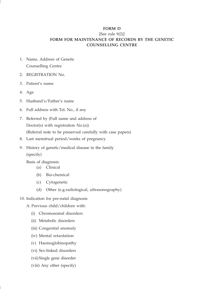#### **FORM D**

# [See rule 9(2)] **FORM FOR MAINTENANCE OF RECORDS BY THE GENETIC COUNSELLING CENTRE**

- 1. Name, Address of Genetic Counselling Centre
- 2. REGISTRATION No.
- 3. Patient's name
- 4. Age
- 5. Husband's/Father's name
- 6. Full address with Tel. No., if any
- 7. Referred by (Full name and address of Doctor(s) with registration No.(s)) (Referral note to be preserved carefully with case papers)
- 8. Last menstrual period/weeks of pregnancy
- 9. History of genetic/medical disease in the family (specify)

Basis of diagnosis:

- (a) Clinical
- (b) Bio-chemical
- (c) Cytogenetic
- (d) Other (e.g.radiological, ultrasonography)
- 10. Indication for pre-natal diagnosis
	- A. Previous child/children with:
		- (i) Chromosomal disorders
		- (ii) Metabolic disorders
		- (iii) Congenital anomaly
		- (iv) Mental retardation
		- (v) Haemoglobinopathy
		- (vi) Sex-linked disorders
		- (vii)Single gene disorder
		- (viii) Any other (specify)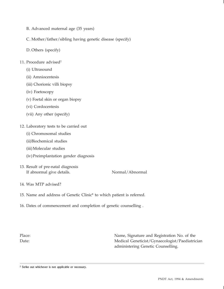- B. Advanced maternal age (35 years)
- C. Mother/father/sibling having genetic disease (specify)
- D. Others (specify)
- 11. Procedure advised<sup>2</sup>
	- (i) Ultrasound
	- (ii) Amniocentesis
	- (iii) Chorionic villi biopsy
	- (iv) Foetoscopy
	- (v) Foetal skin or organ biopsy
	- (vi) Cordocentesis
	- (vii) Any other (specify)
- 12. Laboratory tests to be carried out
	- (i) Chromosomal studies
	- (ii)Biochemical studies
	- (iii)Molecular studies
	- (iv)Preimplantation gender diagnosis
- 13. Result of pre-natal diagnosis If abnormal give details. Normal/Abnormal

- 14. Was MTP advised?
- 15. Name and address of Genetic Clinic\* to which patient is referred.
- 16. Dates of commencement and completion of genetic counselling .

Place: Name, Signature and Registration No. of the Date: Medical Geneticist/Gynaecologist/Paediatrician administering Genetic Counselling.

<sup>2</sup> Strike out whichever is not applicable or necessary.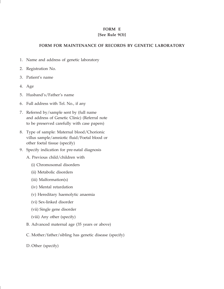# **FORM E**

# **[See Rule 9(3)]**

# **FORM FOR MAINTENANCE OF RECORDS BY GENETIC LABORATORY**

- 1. Name and address of genetic laboratory
- 2. Registration No.
- 3. Patient's name
- 4. Age
- 5. Husband's/Father's name
- 6. Full address with Tel. No., if any
- 7. Referred by/sample sent by (full name and address of Genetic Clinic) (Referral note to be preserved carefully with case papers)
- 8. Type of sample: Maternal blood/Chorionic villus sample/amniotic fluid/Foetal blood or other foetal tissue (specify)
- 9. Specify indication for pre-natal diagnosis
	- A. Previous child/children with
		- (i) Chromosomal disorders
		- (ii) Metabolic disorders
		- (iii) Malformation(s)
		- (iv) Mental retardation
		- (v) Hereditary haemolytic anaemia
		- (vi) Sex-linked disorder
		- (vii) Single gene disorder
		- (viii) Any other (specify)
	- B. Advanced maternal age (35 years or above)
	- C. Mother/father/sibling has genetic disease (specify)
	- D. Other (specify)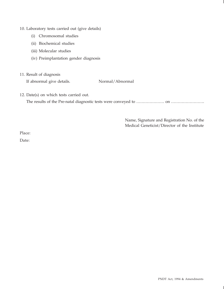#### 10. Laboratory tests carried out (give details)

- (i) Chromosomal studies
- (ii) Biochemical studies
- (iii) Molecular studies
- (iv) Preimplantation gender diagnosis
- 11. Result of diagnosis

If abnormal give details. Normal/Abnormal

12. Date(s) on which tests carried out.

The results of the Pre-natal diagnostic tests were conveyed to …………………… on ………………………

Name, Signature and Registration No. of the Medical Geneticist/Director of the Institute

Place:

Date: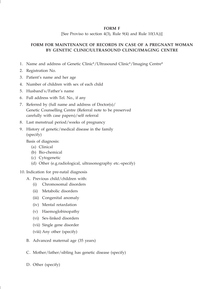#### **FORM F**

[See Proviso to section 4(3), Rule 9(4) and Rule  $10(1A)$ ]

# **FORM FOR MAINTENANCE OF RECORDS IN CASE OF A PREGNANT WOMAN BY GENETIC CLINIC/ULTRASOUND CLINIC/IMAGING CENTRE**

- 1. Name and address of Genetic Clinic\*/Ultrasound Clinic\*/Imaging Centre\*
- 2. Registration No.
- 3. Patient's name and her age
- 4. Number of children with sex of each child
- 5. Husband's/Father's name
- 6. Full address with Tel. No., if any
- 7. Referred by (full name and address of Doctor(s)/ Genetic Counselling Centre (Referral note to be preserved carefully with case papers)/self referral
- 8. Last menstrual period/weeks of pregnancy
- 9. History of genetic/medical disease in the family (specify)

Basis of diagnosis:

- (a) Clinical
- (b) Bio-chemical
- (c) Cytogenetic
- (d) Other (e.g.radiological, ultrasonography etc.-specify)
- 10. Indication for pre-natal diagnosis
	- A. Previous child/children with:
		- (i) Chromosomal disorders
		- (ii) Metabolic disorders
		- (iii) Congenital anomaly
		- (iv) Mental retardation
		- (v) Haemoglobinopathy
		- (vi) Sex-linked disorders
		- (vii) Single gene disorder
		- (viii) Any other (specify)
	- B. Advanced maternal age (35 years)
	- C. Mother/father/sibling has genetic disease (specify)
	- D. Other (specify)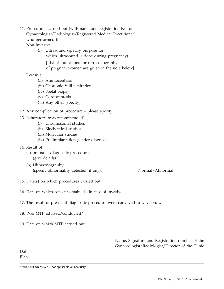11. Procedures carried out (with name and registration No. of Gynaecologist/Radiologist/Registered Medical Practitioner) who performed it.

Non-Invasive

(i) Ultrasound (specify purpose for which ultrasound is done during pregnancy) [List of indications for ultrasonography of pregnant women are given in the note below]

Invasive

- (ii) Amniocentesis
- (iii) Chorionic Villi aspiration
- (iv) Foetal biopsy
- (v) Cordocentesis
- (vi) Any other (specify)
- 12. Any complication of procedure please specify

# 13. Laboratory tests recommended<sup>3</sup>

- (i) Chromosomal studies
- (ii) Biochemical studies
- (iii) Molecular studies
- (iv) Pre-implantation gender diagnosis
- 14. Result of
	- (a) pre-natal diagnostic procedure (give details)
	- (b) Ultrasonography (specify abnormality detected, if any). Normal/Abnormal

- 15. Date(s) on which procedures carried out.
- 16. Date on which consent obtained. (In case of invasive)
- 17. The result of pre-natal diagnostic procedure were conveyed to ……..on….
- 18. Was MTP advised/conducted?
- 19. Date on which MTP carried out.

Name, Signature and Registration number of the Gynaecologist/Radiologist/Director of the Clinic

Date: Place

<sup>&</sup>lt;sup>3</sup> Strike out whichever is not applicable or necessary.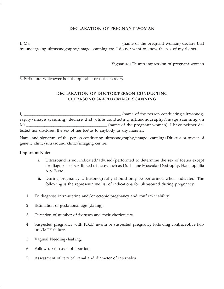# **DECLARATION OF PREGNANT WOMAN**

I, Ms.\_\_\_\_\_\_\_\_\_\_\_\_\_\_\_\_\_\_\_\_\_\_\_\_\_\_\_\_\_\_\_\_\_\_\_\_\_\_\_\_\_\_\_\_ (name of the pregnant woman) declare that by undergoing ultrasonography/image scanning etc. I do not want to know the sex of my foetus.

Signature/Thump impression of pregnant woman

3. Strike out whichever is not applicable or not necessary

# **DECLARATION OF DOCTOR/PERSON CONDUCTING ULTRASONOGRAPHY/IMAGE SCANNING**

I, \_\_\_\_\_\_\_\_\_\_\_\_\_\_\_\_\_\_\_\_\_\_\_\_\_\_\_\_\_\_\_\_\_\_\_\_\_\_\_\_\_\_\_\_\_\_\_\_\_\_\_\_\_\_\_\_ (name of the person conducting ultrasonography/image scanning) declare that while conducting ultrasonography/image scanning on Ms. tected nor disclosed the sex of her foetus to anybody in any manner.

Name and signature of the person conducting ultrasonography/image scanning/Director or owner of genetic clinic/ultrasound clinic/imaging centre.

#### **Important Note:**

- i. Ultrasound is not indicated/advised/performed to determine the sex of foetus except for diagnosis of sex-linked diseases such as Duchenne Muscular Dystrophy, Haemophilia A & B etc.
- ii. During pregnancy Ultrasonography should only be performed when indicated. The following is the representative list of indications for ultrasound during pregnancy.
- 1. To diagnose intra-uterine and/or ectopic pregnancy and confirm viability.
- 2. Estimation of gestational age (dating).
- 3. Detection of number of foetuses and their chorionicity.
- 4. Suspected pregnancy with IUCD in-situ or suspected pregnancy following contraceptive failure/MTP failure.
- 5. Vaginal bleeding/leaking.
- 6. Follow-up of cases of abortion.
- 7. Assessment of cervical canal and diameter of internalos.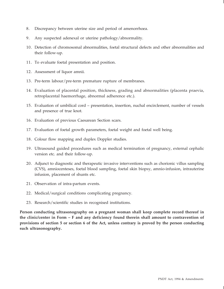- 8. Discrepancy between uterine size and period of amenorrhoea.
- 9. Any suspected adenexal or uterine pathology/abnormality.
- 10. Detection of chromosomal abnormalities, foetal structural defects and other abnormalities and their follow-up.
- 11. To evaluate foetal presentation and position.
- 12. Assessment of liquor amnii.
- 13. Pre-term labour/pre-term premature rupture of membranes.
- 14. Evaluation of placental position, thickness, grading and abnormalities (placenta praevia, retroplacental haemorrhage, abnormal adherence etc.).
- 15. Evaluation of umbilical cord presentation, insertion, nuchal encirclement, number of vessels and presence of true knot.
- 16. Evaluation of previous Caesarean Section scars.
- 17. Evaluation of foetal growth parameters, foetal weight and foetal well being.
- 18. Colour flow mapping and duplex Doppler studies.
- 19. Ultrasound guided procedures such as medical termination of pregnancy, external cephalic version etc. and their follow-up.
- 20. Adjunct to diagnostic and therapeutic invasive interventions such as chorionic villus sampling (CVS), amniocenteses, foetal blood sampling, foetal skin biopsy, amnio-infusion, intrauterine infusion, placement of shunts etc.
- 21. Observation of intra-partum events.
- 22. Medical/surgical conditions complicating pregnancy.
- 23. Research/scientific studies in recognised institutions.

**Person conducting ultrasonography on a pregnant woman shall keep complete record thereof in the clinic/center in Form – F and any deficiency found therein shall amount to contravention of provisions of section 5 or section 6 of the Act, unless contrary is proved by the person conducting such ultrasonography.**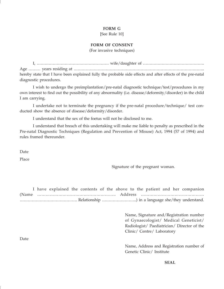#### **FORM G**

[See Rule 10]

## **FORM OF CONSENT**

(For invasive techniques)

I, ……………………………………………… wife/daughter of ………………………………………. Age ……… years residing at …………………………………………………………………………………….. hereby state that I have been explained fully the probable side effects and after effects of the pre-natal diagnostic procedures.

I wish to undergo the preimplantation/pre-natal diagnostic technique/test/procedures in my own interest to find out the possibility of any abnormality (i.e. disease/deformity/disorder) in the child I am carrying.

I undertake not to terminate the pregnancy if the pre-natal procedure/technique/ test conducted show the absence of disease/deformity/disorder.

I understand that the sex of the foetus will not be disclosed to me.

I understand that breach of this undertaking will make me liable to penalty as prescribed in the Pre-natal Diagnostic Techniques (Regulation and Prevention of Misuse) Act, 1994 (57 of 1994) and rules framed thereunder.

Date

Place

Signature of the pregnant woman.

I have explained the contents of the above to the patient and her companion (Name ……………………………………………….. Address ……………………………………… ……………………………………. Relationship ……………………..) in a language she/they understand.

> Name, Signature and/Registration number of Gynaecologist/ Medical Geneticist/ Radiologist/ Paediatrician/ Director of the Clinic/ Centre/ Laboratory

Date

Name, Address and Registration number of Genetic Clinic/ Institute

**SEAL**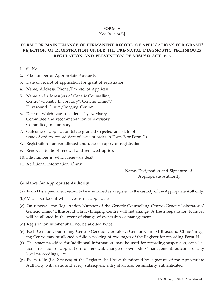# **FORM H**

#### [See Rule 9(5)]

# **FORM FOR MAINTENANCE OF PERMANENT RECORD OF APPLICATIONS FOR GRANT/ REJECTION OF REGISTRATION UNDER THE PRE-NATAL DIAGNOSTIC TECHNIQUES (REGULATION AND PREVENTION OF MISUSE) ACT, 1994**

- 1. Sl. No.
- 2. File number of Appropriate Authority.
- 3. Date of receipt of application for grant of registration.
- 4. Name, Address, Phone/Fax etc. of Applicant:
- 5. Name and address(es) of Genetic Counselling Centre\*/Genetic Laboratory\*/Genetic Clinic\*/ Ultrasound Clinic\*/Imaging Centre\*.
- 6. Date on which case considered by Advisory Committee and recommendation of Advisory Committee, in summary.
- 7. Outcome of application (state granted/rejected and date of issue of orders- record date of issue of order in Form B or Form C).
- 8. Registration number allotted and date of expiry of registration.
- 9. Renewals (date of renewal and renewed up to).
- 10. File number in which renewals dealt.
- 11. Additional information, if any.

Name, Designation and Signature of Appropriate Authority

#### **Guidance for Appropriate Authority**

- (a) Form H is a permanent record to be maintained as a register, in the custody of the Appropriate Authority.
- (b)\*Means strike out whichever is not applicable.
- (c) On renewal, the Registration Number of the Genetic Counselling Centre/Genetic Laboratory/ Genetic Clinic/Ultrasound Clinic/Imaging Centre will not change. A fresh registration Number will be allotted in the event of change of ownership or management.
- (d) Registration number shall not be allotted twice.
- (e) Each Genetic Counselling Centre/Genetic Laboratory/Genetic Clinic/Ultrasound Clinic/Imaging Centre may be allotted a folio consisting of two pages of the Register for recording Form H.
- (f) The space provided for 'additional information' may be used for recording suspension, cancellations, rejection of application for renewal, change of ownership/management, outcome of any legal proceedings, etc.
- (g) Every folio (i.e. 2 pages) of the Register shall be authenticated by signature of the Appropriate Authority with date, and every subsequent entry shall also be similarly authenticated.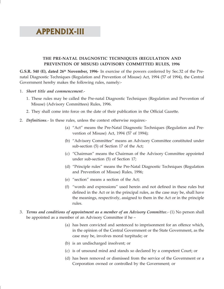# APPENDIX-III

# **THE PRE-NATAL DIAGNOSTIC TECHNIQUES (REGULATION AND PREVENTION OF MISUSE) (ADVISORY COMMITTEE) RULES, 1996**

**G.S.R. 540 (E), dated 26th November, 1996**- In exercise of the powers conferred by Sec.32 of the Prenatal Diagnostic Techniques (Regulation and Prevention of Misuse) Act, 1994 (57 of 1994), the Central Government hereby makes the following rules, namely:-

- 1. *Short title and commencement*.-
	- 1. These rules may be called the Pre-natal Diagnostic Techniques (Regulation and Prevention of Misuse) (Advisory Committees) Rules, 1996.
	- 2. They shall come into force on the date of their publication in the Official Gazette.
- 2. *Definitions*.- In these rules, unless the context otherwise requires:-
	- (a) "Act" means the Pre-Natal Diagnostic Techniques (Regulation and Prevention of Misuse) Act, 1994 (57 of 1994);
	- (b) "Advisory Committee" means an Advisory Committee constituted under sub-section (5) of Section 17 of the Act;
	- (c) "Chairman" means the Chairman of the Advisory Committee appointed under sub-section (5) of Section 17;
	- (d) "Principle rules" means the Pre-Natal Diagnostic Techniques (Regulation and Prevention of Misuse) Rules, 1996;
	- (e) "section" means a section of the Act;
	- (f) "words and expressions" used herein and not defined in these rules but defined in the Act or in the principal rules, as the case may be, shall have the meanings, respectively, assigned to them in the Act or in the principle rules.
- 3. *Terms and conditions of appointment as a member of an Advisory Committee*.- (1) No person shall be appointed as a member of an Advisory Committee if he –
	- (a) has been convicted and sentenced to imprisonment for an offence which, in the opinion of the Central Government or the State Government, as the case may be, involves moral turpitude; or
	- (b) is an undischarged insolvent; or
	- (c) is of unsound mind and stands so declared by a competent Court; or
	- (d) has been removed or dismissed from the service of the Government or a Corporation owned or controlled by the Government; or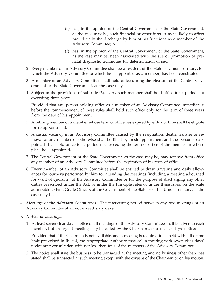- (e) has, in the opinion of the Central Government or the State Government, as the case may be, such financial or other interest as is likely to affect prejudicially the discharge by him of his functions as a member of the Advisory Committee; or
- (f) has, in the opinion of the Central Government or the State Government, as the case may be, been associated with the sue or promotion of prenatal diagnostic techniques for determination of sex.
- 2. Every member of an Advisory Committee shall be a resident of the State or Union Territory, for which the Advisory Committee to which he is appointed as a member, has been constituted.
- 3. A member of an Advisory Committee shall hold office during the pleasure of the Central Government or the State Government, as the case may be.
- 4. Subject to the provisions of sub-rule (3), every such member shall hold office for a period not exceeding three years:

Provided that any person holding office as a member of an Advisory Committee immediately before the commencement of these rules shall hold such office only for the term of three years from the date of his appointment.

- 5. A retiring member or a member whose term of office has expired by efflux of time shall be eligible for re-appointment.
- 6. A casual vacancy in an Advisory Committee caused by the resignation, death, transfer or removal of any member or otherwise shall be filled by fresh appointment and the person so appointed shall hold office for a period not exceeding the term of office of the member in whose place he is appointed.
- 7. The Central Government or the State Government, as the case may be, may remove from office any member of an Advisory Committee before the expiration of his term of office.
- 8. Every member of an Advisory Committee shall be entitled to draw traveling and daily allowances for journeys performed by him for attending the meetings (including a meeting adjourned for want of quorum), of the Advisory Committee or for the purpose of discharging any other duties prescribed under the Act, or under the Principle rules or under these rules, on the scale admissible to First Grade Officers of the Government of the State or of the Union Territory, as the case may be.
- 4. *Meetings of the Advisory Committees*.- The intervening period between any two meetings of an Advisory Committee shall not exceed sixty days.
- 5. *Notice of meetings*.-
	- 1. At least seven clear days' notice of all meetings of the Advisory Committee shall be given to each member, but an urgent meeting may be called by the Chairman at three clear days' notice:

Provided that if the Chairman is not available, and a meeting is required to be held within the time limit prescribed in Rule 4, the Appropriate Authority may call a meeting with seven clear days' notice after consultation with not less than four of the members of the Advisory Committee.

2. The notice shall state the business to be transacted at the meeting and no business other than that stated shall be transacted at such meeting except with the consent of the Chairman or on his motion.